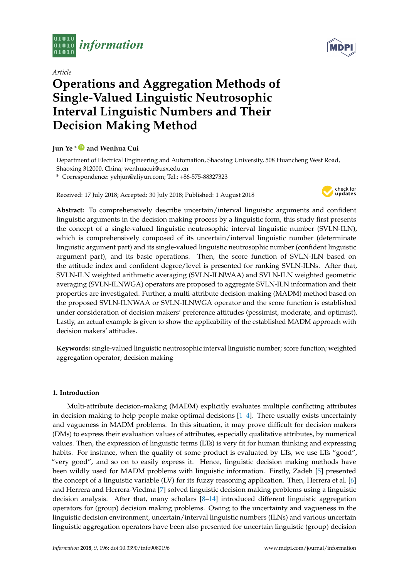

*Article*



# **Operations and Aggregation Methods of Single-Valued Linguistic Neutrosophic Interval Linguistic Numbers and Their Decision Making Method**

## **Jun Ye \* [ID](https://orcid.org/0000-0003-2841-6529) and Wenhua Cui**

Department of Electrical Engineering and Automation, Shaoxing University, 508 Huancheng West Road, Shaoxing 312000, China; wenhuacui@usx.edu.cn

**\*** Correspondence: yehjun@aliyun.com; Tel.: +86-575-88327323

Received: 17 July 2018; Accepted: 30 July 2018; Published: 1 August 2018



**Abstract:** To comprehensively describe uncertain/interval linguistic arguments and confident linguistic arguments in the decision making process by a linguistic form, this study first presents the concept of a single-valued linguistic neutrosophic interval linguistic number (SVLN-ILN), which is comprehensively composed of its uncertain/interval linguistic number (determinate linguistic argument part) and its single-valued linguistic neutrosophic number (confident linguistic argument part), and its basic operations. Then, the score function of SVLN-ILN based on the attitude index and confident degree/level is presented for ranking SVLN-ILNs. After that, SVLN-ILN weighted arithmetic averaging (SVLN-ILNWAA) and SVLN-ILN weighted geometric averaging (SVLN-ILNWGA) operators are proposed to aggregate SVLN-ILN information and their properties are investigated. Further, a multi-attribute decision-making (MADM) method based on the proposed SVLN-ILNWAA or SVLN-ILNWGA operator and the score function is established under consideration of decision makers' preference attitudes (pessimist, moderate, and optimist). Lastly, an actual example is given to show the applicability of the established MADM approach with decision makers' attitudes.

**Keywords:** single-valued linguistic neutrosophic interval linguistic number; score function; weighted aggregation operator; decision making

## **1. Introduction**

Multi-attribute decision-making (MADM) explicitly evaluates multiple conflicting attributes in decision making to help people make optimal decisions [\[1](#page-12-0)[–4\]](#page-12-1). There usually exists uncertainty and vagueness in MADM problems. In this situation, it may prove difficult for decision makers (DMs) to express their evaluation values of attributes, especially qualitative attributes, by numerical values. Then, the expression of linguistic terms (LTs) is very fit for human thinking and expressing habits. For instance, when the quality of some product is evaluated by LTs, we use LTs "good", "very good", and so on to easily express it. Hence, linguistic decision making methods have been wildly used for MADM problems with linguistic information. Firstly, Zadeh [\[5\]](#page-12-2) presented the concept of a linguistic variable (LV) for its fuzzy reasoning application. Then, Herrera et al. [\[6\]](#page-12-3) and Herrera and Herrera-Viedma [\[7\]](#page-12-4) solved linguistic decision making problems using a linguistic decision analysis. After that, many scholars [\[8](#page-12-5)[–14\]](#page-13-0) introduced different linguistic aggregation operators for (group) decision making problems. Owing to the uncertainty and vagueness in the linguistic decision environment, uncertain/interval linguistic numbers (ILNs) and various uncertain linguistic aggregation operators have been also presented for uncertain linguistic (group) decision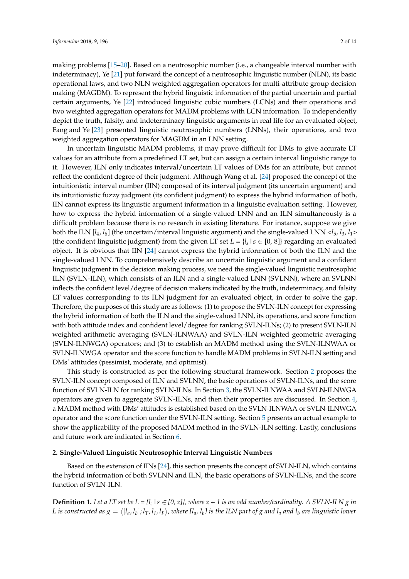making problems [\[15](#page-13-1)[–20\]](#page-13-2). Based on a neutrosophic number (i.e., a changeable interval number with indeterminacy), Ye [\[21\]](#page-13-3) put forward the concept of a neutrosophic linguistic number (NLN), its basic operational laws, and two NLN weighted aggregation operators for multi-attribute group decision making (MAGDM). To represent the hybrid linguistic information of the partial uncertain and partial certain arguments, Ye [\[22\]](#page-13-4) introduced linguistic cubic numbers (LCNs) and their operations and two weighted aggregation operators for MADM problems with LCN information. To independently depict the truth, falsity, and indeterminacy linguistic arguments in real life for an evaluated object, Fang and Ye [\[23\]](#page-13-5) presented linguistic neutrosophic numbers (LNNs), their operations, and two weighted aggregation operators for MAGDM in an LNN setting.

In uncertain linguistic MADM problems, it may prove difficult for DMs to give accurate LT values for an attribute from a predefined LT set, but can assign a certain interval linguistic range to it. However, ILN only indicates interval/uncertain LT values of DMs for an attribute, but cannot reflect the confident degree of their judgment. Although Wang et al. [\[24\]](#page-13-6) proposed the concept of the intuitionistic interval number (IIN) composed of its interval judgment (its uncertain argument) and its intuitionistic fuzzy judgment (its confident judgment) to express the hybrid information of both, IIN cannot express its linguistic argument information in a linguistic evaluation setting. However, how to express the hybrid information of a single-valued LNN and an ILN simultaneously is a difficult problem because there is no research in existing literature. For instance, suppose we give both the ILN  $[l_4, l_6]$  (the uncertain/interval linguistic argument) and the single-valued LNN  $\langle l_5, l_3, l_1 \rangle$ (the confident linguistic judgment) from the given LT set  $L = \{l_s | s \in [0, 8]\}$  regarding an evaluated object. It is obvious that IIN [\[24\]](#page-13-6) cannot express the hybrid information of both the ILN and the single-valued LNN. To comprehensively describe an uncertain linguistic argument and a confident linguistic judgment in the decision making process, we need the single-valued linguistic neutrosophic ILN (SVLN-ILN), which consists of an ILN and a single-valued LNN (SVLNN), where an SVLNN inflects the confident level/degree of decision makers indicated by the truth, indeterminacy, and falsity LT values corresponding to its ILN judgment for an evaluated object, in order to solve the gap. Therefore, the purposes of this study are as follows: (1) to propose the SVLN-ILN concept for expressing the hybrid information of both the ILN and the single-valued LNN, its operations, and score function with both attitude index and confident level/degree for ranking SVLN-ILNs; (2) to present SVLN-ILN weighted arithmetic averaging (SVLN-ILNWAA) and SVLN-ILN weighted geometric averaging (SVLN-ILNWGA) operators; and (3) to establish an MADM method using the SVLN-ILNWAA or SVLN-ILNWGA operator and the score function to handle MADM problems in SVLN-ILN setting and DMs' attitudes (pessimist, moderate, and optimist).

This study is constructed as per the following structural framework. Section [2](#page-1-0) proposes the SVLN-ILN concept composed of ILN and SVLNN, the basic operations of SVLN-ILNs, and the score function of SVLN-ILN for ranking SVLN-ILNs. In Section [3,](#page-4-0) the SVLN-ILNWAA and SVLN-ILNWGA operators are given to aggregate SVLN-ILNs, and then their properties are discussed. In Section [4,](#page-9-0) a MADM method with DMs' attitudes is established based on the SVLN-ILNWAA or SVLN-ILNWGA operator and the score function under the SVLN-ILN setting. Section [5](#page-9-1) presents an actual example to show the applicability of the proposed MADM method in the SVLN-ILN setting. Lastly, conclusions and future work are indicated in Section [6.](#page-11-0)

#### <span id="page-1-0"></span>**2. Single-Valued Linguistic Neutrosophic Interval Linguistic Numbers**

Based on the extension of IINs [\[24\]](#page-13-6), this section presents the concept of SVLN-ILN, which contains the hybrid information of both SVLNN and ILN, the basic operations of SVLN-ILNs, and the score function of SVLN-ILN.

**Definition 1.** Let a LT set be  $L = \{l_s | s \in [0, z]\}$ , where  $z + 1$  is an odd number/cardinality. A SVLN-ILN g in L is constructed as  $g=\langle[l_a,l_b];l_T,l_I,l_F\rangle$ , where [l $_a$ , l $_b$ ] is the ILN part of  $g$  and l $_a$  and l $_b$  are linguistic lower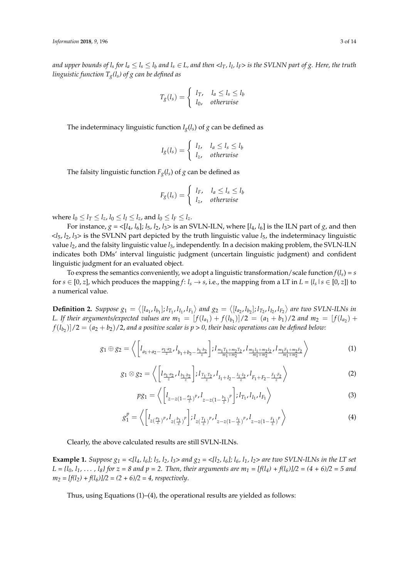and upper bounds of l<sub>s</sub> for l<sub>a</sub>  $\leq$  l<sub>s</sub>  $\leq$  l<sub>b</sub> and l<sub>s</sub>  $\in$  L, and then <l<sub>T</sub>, l<sub>I</sub>, l<sub>F</sub>> is the SVLNN part of g. Here, the truth *linguistic function Tg(ls) of g can be defined as*

$$
T_g(l_s) = \begin{cases} l_T, & l_a \le l_s \le l_b \\ l_0, & otherwise \end{cases}
$$

The indeterminacy linguistic function  $I_g(l_s)$  of  $g$  can be defined as

$$
I_g(l_s) = \begin{cases} l_I, & l_a \le l_s \le l_b \\ l_z, & otherwise \end{cases}
$$

The falsity linguistic function  $F_g(l_s)$  of  $g$  can be defined as

$$
F_g(l_s) = \begin{cases} l_F, & l_a \le l_s \le l_b \\ l_z, & otherwise \end{cases}
$$

where  $l_0 \le l_T \le l_z$ ,  $l_0 \le l_I \le l_z$ , and  $l_0 \le l_F \le l_z$ .

For instance,  $g = \langle [l_4, l_6]; l_5, l_2, l_3 \rangle$  is an SVLN-ILN, where  $[l_4, l_6]$  is the ILN part of *g*, and then <*l*5, *l*2, *l*3> is the SVLNN part depicted by the truth linguistic value *l*5, the indeterminacy linguistic value *l*2, and the falsity linguistic value *l*3, independently. In a decision making problem, the SVLN-ILN indicates both DMs' interval linguistic judgment (uncertain linguistic judgment) and confident linguistic judgment for an evaluated object.

To express the semantics conveniently, we adopt a linguistic transformation/scale function  $f(l_s) = s$ for  $s \in [0, z]$ , which produces the mapping  $f: l_s \to s$ , i.e., the mapping from a LT in  $L = \{l_s | s \in [0, z]\}$  to a numerical value.

**Definition 2.** Suppose  $g_1 = \langle [l_{a_1}, l_{b_1}]; l_{T_1}, l_{I_1}, l_{F_1} \rangle$  and  $g_2 = \langle [l_{a_2}, l_{b_2}]; l_{T_2}, l_{I_2}, l_{F_2} \rangle$  are two SVLN-ILNs in *L.* If their arguments/expected values are  $m_1 = [f(l_{a_1}) + f(l_{b_1})]/2 = (a_1 + b_1)/2$  and  $m_2 = [f(l_{a_2}) +$  $f(l_{b_2})]/2 = (a_2 + b_2)/2$ , and a positive scalar is  $p > 0$ , their basic operations can be defined below:

$$
g_1 \oplus g_2 = \left\langle \left[ l_{a_1 + a_2 - \frac{a_1 \cdot a_2}{z}}, l_{b_1 + b_2 - \frac{b_1 \cdot b_2}{z}} \right]; l_{\frac{m_1 T_1 + m_2 T_2}{m_1 + m_2}}, l_{\frac{m_1 I_1 + m_2 I_2}{m_1 + m_2}}, l_{\frac{m_1 F_1 + m_2 F_2}{m_1 + m_2}} \right\rangle \tag{1}
$$

$$
g_1 \otimes g_2 = \left\langle \left[ l_{\frac{a_1 \cdot a_2}{z}}, l_{\frac{b_1 \cdot b_2}{z}} \right] ; l_{\frac{T_1 \cdot T_2}{z}}, l_{I_1 + I_2 - \frac{I_1 \cdot I_2}{z}}, l_{F_1 + F_2 - \frac{F_1 \cdot F_2}{z}} \right\rangle \tag{2}
$$

$$
pg_1 = \left\langle \left[ l_{z-z(1-\frac{a_1}{z})}^p, l_{z-z(1-\frac{b_1}{z})}^p \right]; l_{T_1}, l_{I_1}, l_{F_1} \right\rangle \tag{3}
$$

$$
g_1^p = \left\langle \left[ l_{z(\frac{a_1}{z})^p, l_{z(\frac{b_1}{z})^p} \right] ; l_{z(\frac{T_1}{z})^p, l_{z-z(1-\frac{I_1}{z})^p, l_{z-z(1-\frac{F_1}{z})^p}} \right\rangle \tag{4}
$$

Clearly, the above calculated results are still SVLN-ILNs.

**Example 1.** Suppose  $g_1 = \langle l_4, l_6 \rangle$ ;  $l_5, l_2, l_3 >$  and  $g_2 = \langle l_2, l_6 \rangle$ ;  $l_6, l_1, l_2 >$  are two SVLN-ILNs in the LT set  $L = \{l_0, l_1, \ldots, l_8\}$  for  $z = 8$  and  $p = 2$ . Then, their arguments are  $m_1 = [f(l_4) + f(l_6)]/2 = (4 + 6)/2 = 5$  and  $m_2 = [f(l_2) + f(l_6)]/2 = (2 + 6)/2 = 4$ , respectively.

Thus, using Equations (1)–(4), the operational results are yielded as follows: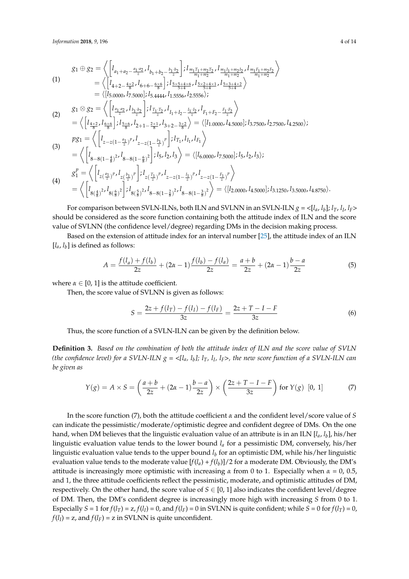$$
g_{1} \oplus g_{2} = \left\langle \begin{bmatrix} l_{a_{1}+a_{2}-\frac{a_{1}\cdot a_{2}}{2},l_{b_{1}+b_{2}-\frac{b_{1}\cdot b_{2}}{2}} \end{bmatrix}; l_{\frac{m_{1}T_{1}+m_{2}T_{2}}{m_{1}+m_{2}}}, l_{\frac{m_{1}L_{1}+m_{2}L_{2}}{m_{1}+m_{2}}}, l_{\frac{m_{1}L_{1}+m_{2}L_{2}}{m_{1}+m_{2}}}\right\rangle
$$
\n
$$
= \left\langle \begin{bmatrix} l_{4+2-\frac{4\times2}{8},l_{6+6-6\frac{6\times6}{8}} \end{bmatrix}; l_{\frac{5\times5+4\times6}{5+4},l_{\frac{5\times3+4\times1}{8+4}},l_{\frac{5\times3+4\times2}{5+4}} \right\rangle
$$
\n
$$
= \left\langle \begin{bmatrix} l_{5,0000}, l_{7,5000} \end{bmatrix}; l_{5,4444}, l_{1,5556}, l_{2,5556} \right\rangle;
$$
\n
$$
g_{1} \otimes g_{2} = \left\langle \begin{bmatrix} l_{\frac{a_{1}\cdot a_{2}}{2},l_{\frac{b_{1}\cdot b_{2}}{2}} \end{bmatrix}; l_{\frac{T_{1}\cdot T_{2}}{2}}, l_{I_{1}+I_{2}-\frac{I_{1}\cdot I_{2}}{2}}, l_{I_{1}+I_{2}-\frac{F_{1}\cdot F_{2}}{2}} \end{bmatrix} \right\rangle
$$
\n
$$
= \left\langle \begin{bmatrix} l_{4\times2}, l_{6\times6} \end{bmatrix}; l_{\frac{5\times6}{8}}, l_{2+1-\frac{2\times1}{8},l_{3+2-\frac{3\times2}{8}} \right\rangle = \left\langle \begin{bmatrix} l_{1,0000}, l_{4,5000} \end{bmatrix}; l_{3,7500}, l_{2,7500}, l_{4,2500} \right\rangle;
$$
\n
$$
pg_{1} = \left\langle \begin{bmatrix} l_{2-z(1-\frac{a_{1}}{z})}, l_{2-z(1-\frac{b_{1}}{z})} \end{bmatrix}; l_{\frac{T_{1}}{z}, l_{
$$

For comparison between SVLN-ILNs, both ILN and SVLNN in an SVLN-ILN  $g = \langle [l_a, l_b]; l_T, l_I, l_F \rangle$ should be considered as the score function containing both the attitude index of ILN and the score value of SVLNN (the confidence level/degree) regarding DMs in the decision making process.

Based on the extension of attitude index for an interval number [\[25\]](#page-13-7), the attitude index of an ILN  $[l_a, l_b]$  is defined as follows:

$$
A = \frac{f(l_a) + f(l_b)}{2z} + (2\alpha - 1)\frac{f(l_b) - f(l_a)}{2z} = \frac{a+b}{2z} + (2\alpha - 1)\frac{b-a}{2z} \tag{5}
$$

where  $\alpha \in [0, 1]$  is the attitude coefficient.

Then, the score value of SVLNN is given as follows:

$$
S = \frac{2z + f(l_T) - f(l_I) - f(l_F)}{3z} = \frac{2z + T - I - F}{3z} \tag{6}
$$

Thus, the score function of a SVLN-ILN can be given by the definition below.

**Definition 3.** *Based on the combination of both the attitude index of ILN and the score value of SVLN (the confidence level) for a SVLN-ILN g = <[la, l<sup>b</sup> ]; lT, l<sup>I</sup> , lF>, the new score function of a SVLN-ILN can be given as*

$$
Y(g) = A \times S = \left(\frac{a+b}{2z} + (2\alpha - 1)\frac{b-a}{2z}\right) \times \left(\frac{2z+T-I-F}{3z}\right) \text{ for } Y(g) \text{ [0, 1]}
$$
 (7)

In the score function (7), both the attitude coefficient *α* and the confident level/score value of *S* can indicate the pessimistic/moderate/optimistic degree and confident degree of DMs. On the one hand, when DM believes that the linguistic evaluation value of an attribute is in an ILN [*la*, *l<sup>b</sup>* ], his/her linguistic evaluation value tends to the lower bound *l<sup>a</sup>* for a pessimistic DM, conversely, his/her linguistic evaluation value tends to the upper bound *l<sup>b</sup>* for an optimistic DM, while his/her linguistic evaluation value tends to the moderate value  $[f(l_a) + f(l_b)]/2$  for a moderate DM. Obviously, the DM's attitude is increasingly more optimistic with increasing  $\alpha$  from 0 to 1. Especially when  $\alpha = 0$ , 0.5, and 1, the three attitude coefficients reflect the pessimistic, moderate, and optimistic attitudes of DM, respectively. On the other hand, the score value of  $S \in [0, 1]$  also indicates the confident level/degree of DM. Then, the DM's confident degree is increasingly more high with increasing *S* from 0 to 1. Especially  $S = 1$  for  $f(l_T) = z$ ,  $f(l_I) = 0$ , and  $f(l_F) = 0$  in SVLNN is quite confident; while  $S = 0$  for  $f(l_T) = 0$ ,  $f(l_I) = z$ , and  $f(l_F) = z$  in SVLNN is quite unconfident.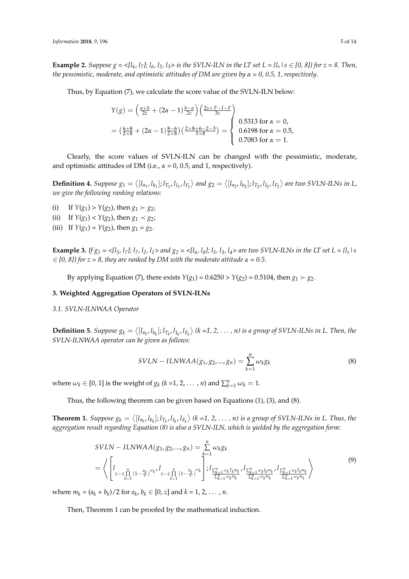**Example 2.** Suppose  $g = \langle [l_6, l_7]; l_6, l_2, l_3 \rangle$  is the SVLN-ILN in the LT set  $L = \{l_s | s \in [0, 8]\}$  for  $z = 8$ . Then, *the pessimistic, moderate, and optimistic attitudes of DM are given by α = 0, 0.5, 1, respectively*.

Thus, by Equation (7), we calculate the score value of the SVLN-ILN below:

$$
Y(g) = \left(\frac{a+b}{2z} + (2\alpha - 1)\frac{b-a}{2z}\right) \left(\frac{2z+T-I-F}{3z}\right)
$$
  
=  $\left(\frac{6+8}{2\times8} + (2\alpha - 1)\frac{8-6}{2\times8}\right) \left(\frac{2\times8+6-2-3}{3\times8}\right) = \begin{cases} 0.5313 \text{ for } \alpha = 0, \\ 0.6198 \text{ for } \alpha = 0.5, \\ 0.7083 \text{ for } \alpha = 1. \end{cases}$ 

Clearly, the score values of SVLN-ILN can be changed with the pessimistic, moderate, and optimistic attitudes of DM (i.e.,  $\alpha = 0$ , 0.5, and 1, respectively).

**Definition 4.** Suppose  $g_1 = \langle [l_{a_1}, l_{b_1}]; l_{T_1}, l_{I_1}, l_{F_1} \rangle$  and  $g_2 = \langle [l_{a_2}, l_{b_2}]; l_{T_2}, l_{I_2}, l_{F_2} \rangle$  are two SVLN-ILNs in L, *we give the following ranking relations:*

- (i) If  $Y(g_1) > Y(g_2)$ , then  $g_1 > g_2$ ;
- (ii) If  $Y(g_1) < Y(g_2)$ , then  $g_1 \prec g_2$ ;
- (iii) If  $Y(g_1) = Y(g_2)$ , then  $g_1 = g_2$ .

**Example 3.** If  $g_1 = \langle l_5, l_7 \rangle$ ;  $l_7, l_2, l_1 >$  and  $g_2 = \langle l_6, l_8 \rangle$ ;  $l_5, l_3, l_4 >$  are two SVLN-ILNs in the LT set L =  $\{l_s \mid s \}$  $\leq$  [0, 8]} for  $z = 8$ , they are ranked by DM with the moderate attitude  $\alpha = 0.5$ .

By applying Equation (7), there exists  $Y(g_1) = 0.6250 > Y(g_2) = 0.5104$ , then  $g_1 > g_2$ .

## <span id="page-4-0"></span>**3. Weighted Aggregation Operators of SVLN-ILNs**

## *3.1. SVLN-ILNWAA Operator*

**Definition 5.** Suppose  $g_k = \langle [l_{a_k}, l_{b_k}]; l_{T_k}, l_{I_k}, l_{F_k} \rangle$  (k =1, 2, ..., n) is a group of SVLN-ILNs in L. Then, the *SVLN-ILNWAA operator can be given as follows:*

$$
SVLN - ILNWAA(g_1, g_2, ..., g_n) = \sum_{k=1}^{n} \omega_k g_k
$$
\n(8)

where  $\omega_k \in [0, 1]$  is the weight of  $g_k$  ( $k = 1, 2, ..., n$ ) and  $\sum_{k=1}^n \omega_k = 1$ .

Thus, the following theorem can be given based on Equations (1), (3), and (8).

**Theorem 1.** Suppose  $g_k = \langle [l_{a_k}, l_{b_k}]; l_{T_k}, l_{I_k}, l_{F_k} \rangle$  (k =1, 2, ..., n) is a group of SVLN-ILNs in L. Thus, the *aggregation result regarding Equation (8) is also a SVLN-ILN, which is yielded by the aggregation form:*

$$
SVLN - ILNWAA(g_1, g_2, ..., g_n) = \sum_{k=1}^{n} \omega_k g_k
$$
  
=  $\left\langle \left[ l_{z-\sum_{k=1}^{n} (1-\frac{a_k}{z})^{\omega_k}} l_{z-\sum_{k=1}^{n} (1-\frac{b_k}{z})^{\omega_k}} \right] ; l_{\frac{\sum_{k=1}^{n} \omega_k T_k m_k}{\sum_{k=1}^{n} \omega_k m_k}} l_{\frac{\sum_{k=1}^{n} \omega_k I_k m_k}{\sum_{k=1}^{n} \omega_k m_k}} \right\rangle$ <sup>(9)</sup>

where  $m_k = (a_k + b_k)/2$  for  $a_k, b_k \in [0, z]$  and  $k = 1, 2, ..., n$ .

Then, Theorem 1 can be proofed by the mathematical induction.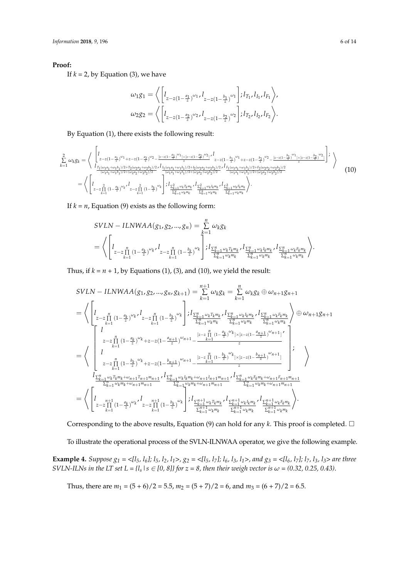## **Proof:**

If  $k = 2$ , by Equation (3), we have

$$
\omega_1 g_1 = \left\langle \left[ l_{z-z(1-\frac{a_1}{z})^{\omega_1}} l_{z-z(1-\frac{b_1}{z})^{\omega_1}} \right] ; l_{T_1}, l_{I_1}, l_{F_1} \right\rangle,
$$
  

$$
\omega_2 g_2 = \left\langle \left[ l_{z-z(1-\frac{a_2}{z})^{\omega_2}} l_{z-z(1-\frac{b_2}{z})^{\omega_2}} \right] ; l_{T_2}, l_{I_2}, l_{F_2} \right\rangle.
$$

By Equation (1), there exists the following result:

$$
\sum_{k=1}^{2} \omega_{k}g_{k} = \left\langle \begin{bmatrix} 1 & \frac{a_{1}}{2} \omega_{1} + \frac{a_{2}}{2} \omega_{2} - \frac{[z - z(1 - \frac{a_{1}}{2})^{\omega_{1}}] \times [z - z(1 - \frac{a_{2}}{2})^{\omega_{2}}]}{z} \omega_{1}^{I} \\ \frac{1}{2} \omega_{k}g_{k} = \frac{1}{2} \frac{[z - z(1 - \frac{a_{1}}{2})^{\omega_{1}} + \frac{[z - z(1 - \frac{a_{1}}{2})^{\omega_{1}}] \times [z - z(1 - \frac{b_{1}}{2})^{\omega_{1}} + \frac{[z - z(1 - \frac{b_{1}}{2})^{\omega_{1}}] \times [z - z(1 - \frac{b_{1}}{2})^{\omega_{1}}] \times [z - z(1 - \frac{b_{1}}{2})^{\omega_{1}}]}{z} \omega_{1}^{I} \\ \frac{1}{2} \frac{[z - z(1 - \frac{a_{1}}{2})^{\omega_{1}} + \omega_{1}b_{1})/2 + [w_{2}a_{2} + \omega_{2}b_{2})/2} \times I_{\frac{I_{1}(\omega_{1}a_{1} + \omega_{1}b_{1})/2 + I_{2}(\omega_{2}a_{2} + \omega_{2}b_{2})/2}{(w_{1}a_{1} + \omega_{1}b_{1})/2 + (w_{2}a_{2} + \omega_{2}b_{2})/2}} \frac{1}{(w_{1}a_{1} + \omega_{1}b_{1})/2 + [w_{2}a_{2} + \omega_{2}b_{2})/2} \omega_{2}^{I} \\ \frac{1}{2} \frac{1}{2} \frac{2}{\omega_{1}a_{1} + \omega_{1}b_{1}} \frac{2}{\omega_{1}a_{1} + \omega_{1}b_{1}} \frac{2}{\omega_{1}a_{1} + \omega_{1}b_{1}} \frac{[z - \frac{a_{1}}{2} \omega_{k} \times k]}{z - z(1 - \frac{b_{1}}{2})^{\omega_{1}} \frac{[z - \frac{a_{1}}{2} \omega_{k} \times k]}{z} \omega_{2}^{I} \frac{[z - \frac{a_{1}}{2} \omega_{k} \times k]}{z} \omega_{2}^{I}
$$

If  $k = n$ , Equation (9) exists as the following form:

$$
SVLN - ILNWAA(g_1, g_2, ..., g_n) = \sum_{k=1}^{n} \omega_k g_k
$$
  
=  $\left\langle \left[ l_{z-z\prod_{k=1}^{n} (1-\frac{a_k}{z})^{\omega_k}} l_{z-z\prod_{k=1}^{n} (1-\frac{b_k}{z})^{\omega_k}} \right] ; l_{\frac{\sum_{k=1}^{n} \omega_k T_k m_k}{\sum_{k=1}^{n} \omega_k m_k}} , l_{\frac{\sum_{k=1}^{n} \omega_k I_k m_k}{\sum_{k=1}^{n} \omega_k m_k}} , l_{\frac{\sum_{k=1}^{n} \omega_k I_k m_k}{\sum_{k=1}^{n} \omega_k m_k}} \right\rangle.$ 

Thus, if  $k = n + 1$ , by Equations (1), (3), and (10), we yield the result:

$$
SVLN - ILNWAA(g_1, g_2, ..., g_n, g_{k+1}) = \sum_{k=1}^{n+1} \omega_k g_k = \sum_{k=1}^n \omega_k g_k \oplus \omega_{n+1} g_{n+1}
$$
  
\n
$$
= \left\langle \begin{bmatrix} 1 & \sum_{i=1}^n (1 - \frac{a_k}{z})^{\omega_k} \cdot l_{z-z} \prod_{k=1}^n (1 - \frac{b_k}{z})^{\omega_k} \end{bmatrix} ; \begin{bmatrix} \sum_{k=1}^n \omega_k T_k m_k \cdot l_{\frac{k-1}{k-1} \omega_k T_k m_k} \cdot l_{\frac{k-1}{k-1} \omega_k T_k m_k} \cdot l_{\frac{k-1}{k-1} \omega_k m_k} \cdot l_{\frac{k-1}{k-1} \omega_k m_k} \end{bmatrix} \right\rangle \oplus \omega_{n+1} g_{n+1}
$$
  
\n
$$
= \left\langle \begin{bmatrix} 1 & \sum_{i=1}^n (1 - \frac{a_k}{z})^{\omega_k} + z - z(1 - \frac{a_{n+1}}{z})^{\omega_{n+1}} - \frac{[z-z] \prod_{i=1}^n (1 - \frac{a_k}{z})^{\omega_k} |z(z-z(1 - \frac{a_{n+1}}{z})^{\omega_{n+1}}|)}{z} \end{bmatrix} ; \begin{bmatrix} 1 & \sum_{k=1}^n (1 - \frac{a_k}{z})^{\omega_k} \\ z-z \prod_{k=1}^n (1 - \frac{b_k}{z})^{\omega_k} + z - z(1 - \frac{b_{n+1}}{z})^{\omega_{n+1}} - \frac{[z-z] \prod_{k=1}^n (1 - \frac{b_k}{z})^{\omega_k} |z(z-z(1 - \frac{b_{n+1}}{z})^{\omega_{n+1}}|}{z} \end{bmatrix} ; \begin{bmatrix} 1 & \sum_{k=1}^n (1 - \frac{b_k}{z})^{\omega_k} \\ \sum_{k=1}^n \omega_k T_k m_k + \omega_{n+1} T_{n+1} m_{n+1} \cdot l_{\frac{k-1}{k-1} \omega_k T_k m_k + \omega_{n+1} T_{n+1} m_{n+1}} \cdot l_{\frac{k-1}{k-1} \omega_k T_k m_k} \cdot l_{\frac{k-1}{k-1} \omega_k T_k m
$$

Corresponding to the above results, Equation (9) can hold for any  $k$ . This proof is completed.  $\Box$ 

To illustrate the operational process of the SVLN-ILNWAA operator, we give the following example.

**Example 4.** Suppose  $g_1 = \langle l_5, l_6 \rangle$ ;  $l_5, l_2, l_1 >$ ,  $g_2 = \langle l_5, l_7 \rangle$ ;  $l_6, l_3, l_1 >$ , and  $g_3 = \langle l_6, l_7 \rangle$ ;  $l_7, l_3, l_3 >$  are three *SVLN-ILNs in the LT set L = {l<sub>s</sub>* |  $s \in [0, 8]$ } for  $z = 8$ , then their weigh vector is  $\omega = (0.32, 0.25, 0.43)$ .

Thus, there are  $m_1 = (5 + 6)/2 = 5.5$ ,  $m_2 = (5 + 7)/2 = 6$ , and  $m_3 = (6 + 7)/2 = 6.5$ .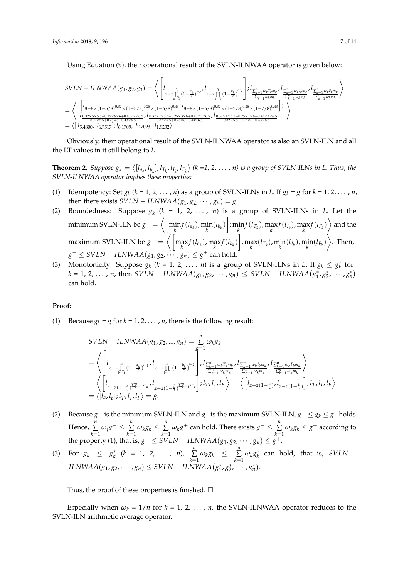Using Equation (9), their operational result of the SVLN-ILNWAA operator is given below:

$$
SVLN - ILNWAA(g_1, g_2, g_3) = \left\langle \left[ l_{z-z_{11}^{3}(1-\frac{a_k}{z})^{\omega_k}}' l_{z-z_{k-1}^{3}(1-\frac{b_k}{z})^{\omega_k}} \right] ; l_{\frac{\sum_{k=1}^{3} \omega_k T_k m_k}{\sum_{k=1}^{3} \omega_k m_k}} \cdot l_{\frac{\sum_{k=1}^{3} \omega_k I_k m_k}{\sum_{k=1}^{3} \omega_k m_k}} \cdot l_{\frac{\sum_{k=1}^{3} \omega_k I_k m_k}{\sum_{k=1}^{3} \omega_k m_k}} \cdot l_{\frac{\sum_{k=1}^{3} \omega_k I_k m_k}{\sum_{k=1}^{3} \omega_k m_k}} \cdot l_{\frac{\sum_{k=1}^{3} \omega_k I_k m_k}{\sum_{k=1}^{3} \omega_k m_k}} \right\rangle
$$
  
=  $\left\langle \left[ l_{3-8 \times (1-5/8)^{0.32} \times (1-5/8)^{0.25} \times (1-6/8)^{0.43} \cdot l_{8-8 \times (1-6/8)^{0.32} \times (1-7/8)^{0.25} \times (1-7/8)^{0.43}} \right] ; \right\rangle$   
=  $\left\langle \left[ l_{5.4800}, l_{6.7517} \right] ; l_{6.1709}, l_{2.7093}, l_{1.9232} \right\rangle$ .

Obviously, their operational result of the SVLN-ILNWAA operator is also an SVLN-ILN and all the LT values in it still belong to *L*.

**Theorem 2.** Suppose  $g_k = \langle [l_{a_k}, l_{b_k}]; l_{T_k}, l_{I_k}, l_{F_k} \rangle$  (k =1, 2, ..., n) is a group of SVLN-ILNs in L. Thus, the *SVLN-ILNWAA operator implies these properties:*

- (1) Idempotency: Set  $g_k$  ( $k = 1, 2, ..., n$ ) as a group of SVLN-ILNs in *L*. If  $g_k = g$  for  $k = 1, 2, ..., n$ , then there exists *SVLN* − *ILNWAA*( $g_1, g_2, \cdots, g_n$ ) = *g*.
- (2) Boundedness: Suppose  $g_k$  ( $k = 1, 2, ..., n$ ) is a group of SVLN-ILNs in *L*. Let the minimum SVLN-ILN be  $g^-=\left<\left[\min_k f(l_{a_k}),\min_k(l_{b_k})\right]; \min_k f(l_{T_k}), \max_k f(l_{I_k}), \max_k f(l_{F_k})\right>$  and the  $\text{maximum SVM-ILN be } g^+ = \left\langle \left[\max_k f(l_{a_k}), \max_k f(l_{b_k})\right], \max_k (l_{T_k}), \min_k (l_{I_k}), \min_k (l_{F_k})\right\rangle.$  Then,  $g^-$  ≤ *SVLN* − *ILNWAA*( $g_1, g_2, \cdots, g_n$ ) ≤  $g^+$  can hold.
- (3) Monotonicity: Suppose  $g_k$  ( $k = 1, 2, ..., n$ ) is a group of SVLN-ILNs in *L*. If  $g_k \leq g_k^*$  for  $k = 1, 2, ..., n$ , then  $SVLN - ILNWAA(g_1, g_2, ..., g_n) \leq SVLN - ILNWAA(g_1^*, g_2^*, ..., g_n^*)$ can hold.

#### **Proof:**

(1) Because  $g_k = g$  for  $k = 1, 2, ..., n$ , there is the following result:

$$
SVLN - ILNWAA(g_1, g_2, ..., g_n) = \sum_{k=1}^{n} \omega_k g_k
$$
  
=  $\left\langle \begin{bmatrix} 1 & n- \frac{a_k}{2} \omega_k t & n-1 \\ 1 & 1 & \frac{a_k}{2} \omega_k t & n-1 \\ 1 & 1 & \frac{a_k}{2} \omega_k t & n-1 \end{bmatrix} \begin{bmatrix} 1 & n- \frac{b_k}{2} \omega_k \\ 1 & 1 & \frac{b_k}{2} \omega_k t & n-1 \\ 1 & 1 & \frac{b_k}{2} \omega_k t & n-1 \\ 1 & 1 & \frac{b_k}{2} \omega_k t & n-1 \end{bmatrix} \begin{bmatrix} 1 & n- \frac{b_k}{2} \omega_k t & n-1 \\ 1 & 1 & \frac{b_k}{2} \omega_k t & n-1 \\ 1 & 1 & \frac{b_k}{2} \omega_k t & n-1 \\ 1 & 1 & \frac{b_k}{2} \omega_k t & n-1 \end{bmatrix} \begin{bmatrix} 1 & n- \frac{b_k}{2} \omega_k t & n-1 \\ 1 & 1 & \frac{b_k}{2} \omega_k t & n-1 \\ 1 & 1 & \frac{b_k}{2} \omega_k t & n-1 \end{bmatrix} \begin{bmatrix} 1 & n- \frac{b_k}{2} \omega_k t & n-1 \\ 1 & 1 & \frac{b_k}{2} \omega_k t & n-1 \\ 1 & 1 & \frac{b_k}{2} \omega_k t & n-1 \end{bmatrix} \begin{bmatrix} 1 & n-1 & n-1 \\ 1 & 1 & \frac{b_k}{2} \omega_k t & n-1 \\ 1 & 1 & \frac{b_k}{2} \omega_k t & n-1 \end{bmatrix} \begin{bmatrix} 1 & n-1 & n-1 \\ 1 & 1 & \frac{b_k}{2} \omega_k t & n-1 \\ 1 & 1 & \frac{b_k}{2} \omega_k t & n-1 \end{bmatrix} \begin{bmatrix} 1 & n-1 & n-1 \\ 1 & 1 & \frac{b_k}{2} \omega_k t & n-1 \\ 1 & 1 & \frac{b_k}{2} \omega_k t & n-1 \end{bmatrix} \begin{bmatrix} 1 & n-1 & n-1 \\ 1 & 1 & \frac{b_k}{2} \omega_k t & n-1 \\ 1 & 1 & \frac{b_k}{2} \omega_k t & n-1 \end{bmatrix} \begin{b$ 

- (2) Because  $g^-$  is the minimum SVLN-ILN and  $g^+$  is the maximum SVLN-ILN,  $g^- \leq g_k \leq g^+$  holds. Hence, *n* ∑  $\sum_{k=1}^n \omega_j g^{-} \leq \sum_{k=1}^n$  $\sum_{k=1}^n \omega_k g_k \leq \sum_{k=1}^n$  $\sum_{k=1}^n \omega_k g^+$  can hold. There exists  $g^- \leq \sum_{k=1}^n$  $\sum_{k=1}^{n} \omega_k g_k \leq g^+$  according to the property (1), that is,  $g^- \leq SVLN - ILNWAA(g_1, g_2, \dots, g_n) \leq g^+$ .
- (3) For  $g_k \leq g_k^*$  ( $k = 1, 2, ..., n$ ),  $\sum_{k=1}^{n}$  $\sum_{k=1}^n \omega_k g_k \leq \sum_{k=1}^n$  $\sum_{k=1}^{n} \omega_k g_k^*$  can hold, that is, *SVLN* –  $ILNWAA(g_1, g_2, \dots, g_n) \leq SVLN - ILNWAA(g_1^*, g_2^*, \dots, g_n^*)$ .

Thus, the proof of these properties is finished.  $\square$ 

Especially when  $\omega_k = 1/n$  for  $k = 1, 2, \ldots, n$ , the SVLN-ILNWAA operator reduces to the SVLN-ILN arithmetic average operator.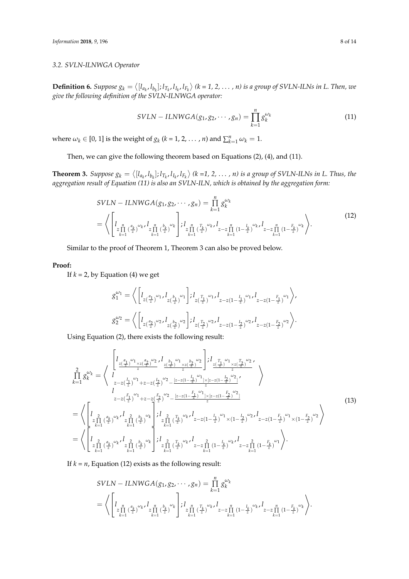## *3.2. SVLN-ILNWGA Operator*

**Definition 6.** Suppose  $g_k = \langle [l_{a_k}, l_{b_k}]; l_{T_k}, l_{I_k}, l_{F_k} \rangle$  ( $k = 1, 2, ..., n$ ) is a group of SVLN-ILNs in L. Then, we *give the following definition of the SVLN-ILNWGA operator:*

$$
SVLN - ILNWGA(g_1, g_2, \cdots, g_n) = \prod_{k=1}^n g_k^{\omega_k}
$$
 (11)

where  $\omega_k \in [0, 1]$  is the weight of  $g_k$  ( $k = 1, 2, ..., n$ ) and  $\sum_{k=1}^n \omega_k = 1$ .

Then, we can give the following theorem based on Equations (2), (4), and (11).

**Theorem 3.** Suppose  $g_k = \langle [l_{a_k}, l_{b_k}] ; l_{T_k}, l_{I_k}, l_{F_k} \rangle$  (k =1, 2, ..., n) is a group of SVLN-ILNs in L. Thus, the *aggregation result of Equation (11) is also an SVLN-ILN, which is obtained by the aggregation form:*

$$
SVLN - ILNWGA(g_1, g_2, \cdots, g_n) = \prod_{k=1}^{n} g_k^{\omega_k}
$$
  
=  $\left\langle \left[ \lim_{\substack{z \prod_{k=1}^{n} (\frac{a_k}{z})^{\omega_k t} \ z \prod_{k=1}^{n} (\frac{b_k}{z})^{\omega_k} } \right] ; \lim_{\substack{z \prod_{k=1}^{n} (\frac{T_k}{z})^{\omega_k t} \ z - z \prod_{k=1}^{n} (1 - \frac{I_k}{z})^{\omega_k t} } \right] \cdot \prod_{k=1}^{n} (1 - \frac{F_k}{z})^{\omega_k} \right\rangle$ . (12)

Similar to the proof of Theorem 1, Theorem 3 can also be proved below.

## **Proof:**

If  $k = 2$ , by Equation (4) we get

$$
\begin{split} g_{1}^{\omega_{1}} = \left\langle \left[l_{z(\frac{a_{1}}{z})}^{\omega_{1}} \cdots l_{z(\frac{b_{1}}{z})}^{\omega_{1}} \cdots \right] ; l_{z(\frac{T_{1}}{z})}^{\omega_{1}} \cdots l_{z-z(1-\frac{I_{1}}{z})}^{\omega_{1}} \cdots l_{z-z(1-\frac{F_{1}}{z})}^{\omega_{1}} \right\rangle, \\ g_{2}^{\omega_{2}} = \left\langle \left[l_{z(\frac{a_{2}}{z})}^{\omega_{2}} \cdots l_{z(\frac{b_{2}}{z})}^{\omega_{2}} \right] ; l_{z(\frac{T_{2}}{z})}^{\omega_{2}} \cdots l_{z-z(1-\frac{I_{2}}{z})}^{\omega_{2}} \cdots l_{z-z(1-\frac{F_{2}}{z})}^{\omega_{2}} \right\rangle. \end{split}
$$

Using Equation (2), there exists the following result:

$$
\prod_{k=1}^{2} g_{k}^{\omega_{k}} = \left\langle I_{\frac{z(\frac{a_{1}}{2})^{\omega_{1}} \times z(\frac{a_{2}}{2})^{\omega_{2}}}{z}, I_{\frac{z(\frac{b_{1}}{2})^{\omega_{1}} \times z(\frac{b_{2}}{2})^{\omega_{2}}}{z}} \right\rangle : I_{\frac{z(\frac{T_{1}}{2})^{\omega_{1}} \times z(\frac{T_{2}}{2})^{\omega_{2}}}{z}} \right\rangle
$$
\n
$$
= \left\langle I_{\frac{z(z(\frac{T_{1}}{2})^{\omega_{1}} + z - z(\frac{I_{2}}{2})^{\omega_{2}} - \frac{[z - z(1 - \frac{I_{1}}{2})^{\omega_{1}}] \times [z - z(1 - \frac{I_{2}}{2})^{\omega_{2}}]}{z}}}{z - z(\frac{I_{1}}{2})^{\omega_{1}} + z - z(\frac{I_{2}}{2})^{\omega_{2}} - \frac{[z - z(1 - \frac{I_{1}}{2})^{\omega_{1}}] \times [z - z(1 - \frac{I_{2}}{2})^{\omega_{2}}]}{z}}{z - z(\frac{I_{2}}{2})^{\omega_{2}}}\right\rangle
$$
\n
$$
= \left\langle \left[ I_{\frac{2}{z \prod_{k=1}^{2} (\frac{a_{k}}{z})^{\omega_{k}}}, I_{\frac{2}{z \prod_{k=1}^{2} (\frac{b_{k}}{z})^{\omega_{k}}}} \right] : I_{\frac{2}{z \prod_{k=1}^{2} (\frac{T_{k}}{z})^{\omega_{k}}}, I_{z - z(1 - \frac{I_{1}}{z})^{\omega_{1}} \times (1 - \frac{I_{2}}{z})^{\omega_{2}}}, I_{z - z(1 - \frac{I_{1}}{z})^{\omega_{1}} \times (1 - \frac{I_{2}}{z})^{\omega_{2}}}\right\rangle
$$
\n
$$
= \left\langle \left[ I_{\frac{2}{z \prod_{k=1}^{2} (\frac{a_{k}}{z})^{\omega_{k}}}, I_{\frac{2}{z \prod_{k=1}^{2} (\frac{b_{k}}{z})^{\omega_{k}}}} \right] : I_{\frac{2}{z \prod_{k=1}^{2} (\frac{T_{k}}{z})^{\omega_{k}}}, I_{z - z \prod_{k=1}^{2
$$

If  $k = n$ , Equation (12) exists as the following result:

$$
SVLN - ILNWGA(g_1, g_2, \cdots, g_n) = \prod_{k=1}^{n} g_k^{\omega_k}
$$
  
=  $\left\langle \left[ \lim_{\substack{z \prod_{k=1}^{n} (\frac{a_k}{z})^{\omega_k t} z_{k=1}^m (\frac{b_k}{z})^{\omega_k} } \right] ; \lim_{\substack{z \prod_{k=1}^{n} (\frac{T_k}{z})^{\omega_k t} z_{k=1}^n (1 - \frac{I_k}{z})^{\omega_k t} } \right] ; \lim_{k=1} \left[ \lim_{z \to z} \frac{a_k}{k} \right] ; \lim_{k=1} \left[ \lim_{z \to z} \frac{a_k}{k} \right] \right\}.$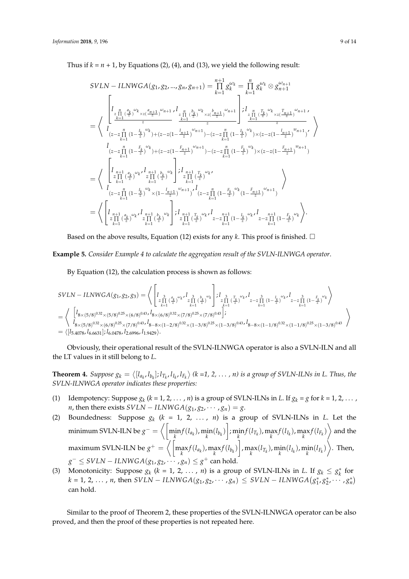Thus if  $k = n + 1$ , by Equations (2), (4), and (13), we yield the following result:

$$
SVLN - ILNWGA(g_1, g_2, ..., g_n, g_{n+1}) = \prod_{k=1}^{n+1} g_k^{\omega_k} = \prod_{k=1}^n g_k^{\omega_k} \otimes g_{n+1}^{\omega_{n+1}}
$$
\n
$$
= \left\langle \begin{array}{c} \begin{aligned}\nI_{\frac{r}{2}\prod_{k=1}^{n} (\frac{a_k}{2})^{\omega_k} \times z(\frac{a_{n+1}}{2})^{\omega_{n+1}} I_{\frac{r}{2}\prod_{k=1}^{n} (\frac{b_k}{2})^{\omega_k} \times z(\frac{b_{n+1}}{2})^{\omega_{n+1}} \\z^{\frac{k-1}{2}} \end{aligned} \right] \begin{aligned}\nI_{\frac{r}{2}\prod_{k=1}^{n} (\frac{r}{2})^{\omega_k} \times z(\frac{r_{n+1}}{2})^{\omega_{n+1}} \\ \frac{k-1}{2} \end{aligned} \right\} \\
&= \left\langle \begin{array}{c} \begin{aligned}\nI_{\frac{r}{2}\prod_{k=1}^{n} (1 - \frac{L}{2})^{\omega_k}}(1 - \frac{L}{2})^{\omega_k} + (z - z(1 - \frac{L}{2})^{\omega_{n+1}}) - (z - z\prod_{k=1}^{n} (1 - \frac{L}{2})^{\omega_k}) \times (z - z(1 - \frac{L}{2})^{\omega_{n+1}}) \end{aligned} \right. \\
I_{\begin{aligned}\n(z - z\prod_{k=1}^{n} (1 - \frac{L}{2})^{\omega_k} \times I_{\frac{r}{2}\prod_{k=1}^{n} (\frac{b_k}{2})^{\omega_k}} \end{aligned} \right\} \\
&= \left\langle \begin{aligned}\nI_{\begin{aligned}\nI_{n+1} & \frac{a_k}{2} \end{aligned} \times I_{\begin{aligned}\nI_{n+1} & \frac{b_k}{2} \end{aligned} \right\} \begin{aligned}\nI_{\begin{aligned}\nI_{n+1} & \frac{r}{2} \end{aligned} \times I_{\begin{aligned}\nI_{n+1} & \frac{r}{2} \end{aligned} \right\} \\
&= \left\langle \begin{aligned}\nI_{\begin{aligned}\nI_{n+1} & \frac{a_k}{2} \end{aligned} \times I_{\begin{aligned}\nI_{n+1} & \frac{b_k}{2} \end{aligned} \right
$$

Based on the above results, Equation (12) exists for any *k*. This proof is finished.  $\square$ 

**Example 5.** *Consider Example 4 to calculate the aggregation result of the SVLN-ILNWGA operator*.

By Equation (12), the calculation process is shown as follows:

$$
SVLN - ILNWGA(g1, g2, g3) = \left\langle \begin{bmatrix} I_{2\prod_{k=1}^{3} \left(\frac{a_k}{2}\right)^{\omega_k} \cdot \frac{1}{z \prod_{k=1}^{3} \left(\frac{b_k}{z}\right)^{\omega_k}}\right) : I_{2\prod_{k=1}^{3} \left(\frac{T_k}{z}\right)^{\omega_k} \cdot \frac{1}{z - z \prod_{k=1}^{3} \left(1 - \frac{I_k}{z}\right)^{\omega_k} \cdot \frac{1}{z - z \prod_{k=1}^{3} \left(1 - \frac{F_k}{z}\right)^{\omega_k}}\right\rangle} \ - \left\langle \begin{bmatrix} I_{8 \times (5/8)^{0.32} \times (5/8)^{0.25} \times (6/8)^{0.43} \cdot I_{8 \times (6/8)^{0.32} \times (7/8)^{0.25} \times (7/8)^{0.43}} \cdot \frac{1}{s - 1} \cdot \frac{1}{s - 1} \cdot \frac{1}{s - 1} \cdot \frac{1}{s - 1} \cdot \frac{1}{s - 1} \cdot \frac{1}{s - 1} \cdot \frac{1}{s - 1} \cdot \frac{1}{s - 1} \cdot \frac{1}{s - 1} \cdot \frac{1}{s - 1} \cdot \frac{1}{s - 1} \cdot \frac{1}{s - 1} \cdot \frac{1}{s - 1} \cdot \frac{1}{s - 1} \cdot \frac{1}{s - 1} \cdot \frac{1}{s - 1} \cdot \frac{1}{s - 1} \cdot \frac{1}{s - 1} \cdot \frac{1}{s - 1} \cdot \frac{1}{s - 1} \cdot \frac{1}{s - 1} \cdot \frac{1}{s - 1} \cdot \frac{1}{s - 1} \cdot \frac{1}{s - 1} \cdot \frac{1}{s - 1} \cdot \frac{1}{s - 1} \cdot \frac{1}{s - 1} \cdot \frac{1}{s - 1} \cdot \frac{1}{s - 1} \cdot \frac{1}{s - 1} \cdot \frac{1}{s - 1} \cdot \frac{1}{s - 1} \cdot \frac{1}{s - 1} \cdot \frac{1}{s - 1} \cdot \frac{1}{s - 1} \cdot \frac{1}{s - 1} \cdot \frac{1}{s
$$

Obviously, their operational result of the SVLN-ILNWGA operator is also a SVLN-ILN and all the LT values in it still belong to *L*.

**Theorem 4.** Suppose  $g_k = \langle [l_{a_k}, l_{b_k}]; l_{T_k}, l_{I_k}, l_{F_k} \rangle$  (k =1, 2, ..., n) is a group of SVLN-ILNs in L. Thus, the *SVLN-ILNWGA operator indicates these properties:*

- (1) Idempotency: Suppose  $g_k$  ( $k = 1, 2, ..., n$ ) is a group of SVLN-ILNs in *L*. If  $g_k = g$  for  $k = 1, 2, ...,$ *n*, then there exists *SVLN* − *ILNWGA*( $g_1, g_2, \cdots, g_n$ ) = *g*.
- (2) Boundedness: Suppose  $g_k$  ( $k = 1, 2, ..., n$ ) is a group of SVLN-ILNs in *L*. Let the minimum SVLN-ILN be  $g^-=\left<\left[\min_k f(l_{a_k}),\min_k(l_{b_k})\right]; \min_k f(l_{T_k}), \max_k f(l_{I_k}), \max_k f(l_{F_k})\right>$  and the maximum SVLN-ILN be  $g^+=\left<\left\lceil\max_k f(l_{a_k}),\max_k f(l_{b_k})\right\rceil$ ,  $\max_k (l_{T_k}),\min_k (l_{I_k}),\min_k (l_{F_k})\right>$ . Then,  $g^-$  ≤ *SVLN* − *ILNWGA*( $g_1$ , $g_2$ ,  $\cdots$ , $g_n$ ) ≤  $g^+$  can hold.
- (3) Monotonicity: Suppose  $g_k$  ( $k = 1, 2, ..., n$ ) is a group of SVLN-ILNs in *L*. If  $g_k \leq g_k^*$  for  $k = 1, 2, ..., n$ , then  $SVLN - ILNWGA(g_1, g_2, ..., g_n) \leq SVLN - ILNWGA(g_1^*, g_2^*, ..., g_n^*)$ can hold.

Similar to the proof of Theorem 2, these properties of the SVLN-ILNWGA operator can be also proved, and then the proof of these properties is not repeated here.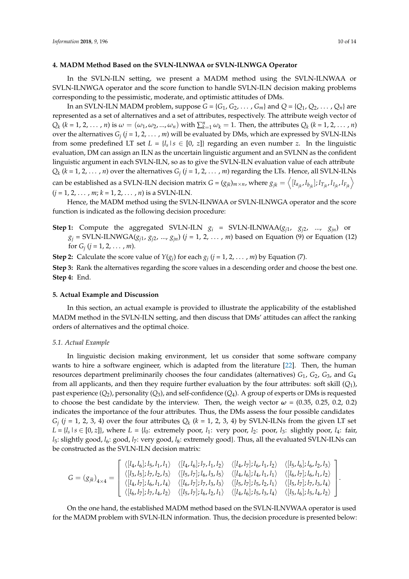#### <span id="page-9-0"></span>**4. MADM Method Based on the SVLN-ILNWAA or SVLN-ILNWGA Operator**

In the SVLN-ILN setting, we present a MADM method using the SVLN-ILNWAA or SVLN-ILNWGA operator and the score function to handle SVLN-ILN decision making problems corresponding to the pessimistic, moderate, and optimistic attitudes of DMs.

In an SVLN-ILN MADM problem, suppose  $G = \{G_1, G_2, \ldots, G_m\}$  and  $Q = \{Q_1, Q_2, \ldots, Q_n\}$  are represented as a set of alternatives and a set of attributes, respectively. The attribute weigh vector of  $Q_k$  (k = 1, 2, ..., n) is  $\omega = (\omega_1, \omega_2, ..., \omega_n)$  with  $\sum_{k=1}^n \omega_k = 1$ . Then, the attributes  $Q_k$  (k = 1, 2, ..., n) over the alternatives *G<sup>j</sup>* (*j* = 1, 2, . . . , *m*) will be evaluated by DMs, which are expressed by SVLN-ILNs from some predefined LT set  $L = \{l_s | s \in [0, z]\}$  regarding an even number *z*. In the linguistic evaluation, DM can assign an ILN as the uncertain linguistic argument and an SVLNN as the confident linguistic argument in each SVLN-ILN, so as to give the SVLN-ILN evaluation value of each attribute  $Q_k$  ( $k = 1, 2, ..., n$ ) over the alternatives  $G_j$  ( $j = 1, 2, ..., m$ ) regarding the LTs. Hence, all SVLN-ILNs can be established as a SVLN-ILN decision matrix  $G=(g_{jk})_{m\times n}$ , where  $g_{jk}=\left< [I_{a_{jk}},I_{b_{jk}}];I_{T_{jk}},I_{I_{jk}},I_{F_{jk}} \right>$  $(j = 1, 2, \ldots, m; k = 1, 2, \ldots, n)$  is a SVLN-ILN.

Hence, the MADM method using the SVLN-ILNWAA or SVLN-ILNWGA operator and the score function is indicated as the following decision procedure:

**Step 1:** Compute the aggregated SVLN-ILN  $g_i$  = SVLN-ILNWAA( $g_{i1}$ ,  $g_{i2}$ , ...,  $g_{in}$ ) or  $g_j$  = SVLN-ILNWGA( $g_{j1}$ ,  $g_{j2}$ , ...,  $g_{jn}$ ) (*j* = 1, 2, ..., *m*) based on Equation (9) or Equation (12) for  $G_j$  (*j* = 1, 2, ..., *m*).

**Step 2:** Calculate the score value of  $Y(g_j)$  for each  $g_j$  ( $j = 1, 2, ..., m$ ) by Equation (7). **Step 3:** Rank the alternatives regarding the score values in a descending order and choose the best one. **Step 4:** End.

#### <span id="page-9-1"></span>**5. Actual Example and Discussion**

In this section, an actual example is provided to illustrate the applicability of the established MADM method in the SVLN-ILN setting, and then discuss that DMs' attitudes can affect the ranking orders of alternatives and the optimal choice.

#### *5.1. Actual Example*

In linguistic decision making environment, let us consider that some software company wants to hire a software engineer, which is adapted from the literature [\[22\]](#page-13-4). Then, the human resources department preliminarily chooses the four candidates (alternatives) *G*1, *G*2, *G*3, and *G*<sup>4</sup> from all applicants, and then they require further evaluation by the four attributes: soft skill (*Q*1), past experience  $(Q_2)$ , personality  $(Q_3)$ , and self-confidence  $(Q_4)$ . A group of experts or DMs is requested to choose the best candidate by the interview. Then, the weigh vector  $\omega = (0.35, 0.25, 0.2, 0.2)$ indicates the importance of the four attributes. Thus, the DMs assess the four possible candidates  $G_j$  (*j* = 1, 2, 3, 4) over the four attributes  $Q_k$  ( $k = 1$ , 2, 3, 4) by SVLN-ILNs from the given LT set  $L = \{l_s | s \in [0, z]\}$ , where  $L = \{l_0:$  extremely poor,  $l_1:$  very poor,  $l_2:$  poor,  $l_3:$  slightly poor,  $l_4:$  fair, *l*<sub>5</sub>: slightly good, *l*<sub>6</sub>: good, *l*<sub>7</sub>: very good, *l*<sub>8</sub>: extremely good}. Thus, all the evaluated SVLN-ILNs can be constructed as the SVLN-ILN decision matrix:

$$
G = (g_{jk})_{4\times4} = \begin{bmatrix} \langle [l_4, l_6]; l_5, l_1, l_1 \rangle & \langle [l_4, l_6]; l_7, l_1, l_2 \rangle & \langle [l_4, l_7]; l_6, l_1, l_2 \rangle & \langle [l_5, l_6]; l_6, l_2, l_3 \rangle \\ \langle [l_3, l_5]; l_7, l_2, l_3 \rangle & \langle [l_5, l_7]; l_6, l_3, l_5 \rangle & \langle [l_4, l_6]; l_4, l_1, l_1 \rangle & \langle [l_6, l_7]; l_6, l_1, l_2 \rangle \\ \langle [l_4, l_7]; l_6, l_1, l_4 \rangle & \langle [l_6, l_7]; l_7, l_3, l_3 \rangle & \langle [l_5, l_7]; l_5, l_2, l_1 \rangle & \langle [l_5, l_7]; l_7, l_3, l_4 \rangle \\ \langle [l_6, l_7]; l_7, l_4, l_2 \rangle & \langle [l_5, l_7]; l_6, l_2, l_1 \rangle & \langle [l_4, l_6]; l_5, l_3, l_4 \rangle & \langle [l_5, l_6]; l_5, l_4, l_2 \rangle \end{bmatrix}.
$$

On the one hand, the established MADM method based on the SVLN-ILNVWAA operator is used for the MADM problem with SVLN-ILN information. Thus, the decision procedure is presented below: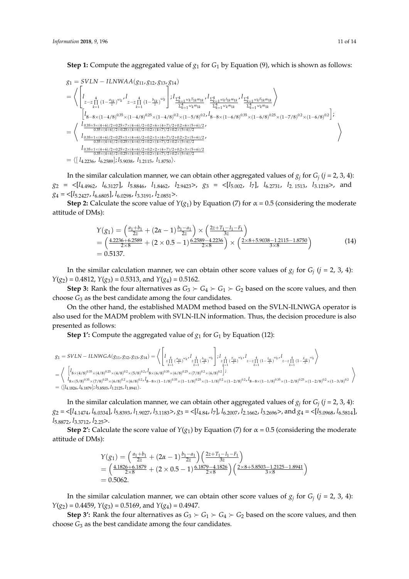*g*<sup>1</sup> = *SVLN* − *ILNWAA*(*g*11, *g*12, *g*13, *g*14) = \* *l z*−*z* 4 ∏ *k*=1 (1− *a*1*k z* ) *ωk* , *l z*−*z* 4 ∏ *k*=1 (1− *b*1*k z* ) *ωk* ; *<sup>l</sup>* <sup>∑</sup> 4 *k*=1 *ωk T*1*km*1*k* ∑ 4 *k*=1 *ωkm*1*k* , *l* <sup>∑</sup> 4 *k*=1 *ωk I*1*km*1*k* ∑ 4 *k*=1 *ωkm*1*k* , *l* <sup>∑</sup> 4 *k*=1 *ωk F*1*km*1*k* ∑ 4 *k*=1 *ωkm*1*k* + = \* h *l* 8−8×(1−4/8) 0.35×(1−4/8) 0.25×(1−4/8) 0.2×(1−5/8) 0.2 , *l* 8−8×(1−6/8) 0.35×(1−6/8) 0.25×(1−7/8) 0.2×(1−6/8) 0.2 i ; *l* 0.35×5×(4+6)/2+0.25×7×(4+6)/2+0.2×6×(4+7)/2+0.2×6×(5+6)/2 0.35×(4+6)/2+0.25×(4+6)/2+0.2×(4+7)/2+0.2×(5+6)/2 , *l* 0.35×1×(4+6)/2+0.25×1×(4+6)/2+0.2×1×(4+7)/2+0.2×2×(5+6)/2 0.35×(4+6)/2+0.25×(4+6)/2+0.2×(4+7)/2+0.2×(5+6)/2 , *l* 0.35×1×(4+6)/2+0.25×2×(4+6)/2+0.2×2×(4+7)/2+0.2×3×(5+6)/2 0.35×(4+6)/2+0.25×(4+6)/2+0.2×(4+7)/2+0.2×(5+6)/2 + = h[ *l*4.2236, *l*6.2589]; *l*5.9038, *l*1.2115, *l*1.8750i.

In the similar calculation manner, we can obtain other aggregated values of  $g_j$  for  $G_j$   $(j = 2, 3, 4)$ :  $g_2 = \langle [l_{4.4962}, l_{6.3127}], l_{5.8846}, l_{1.8462}, l_{2.9423} \rangle, g_3 = \langle [l_{5.002}, l_7], l_{6.2731}, l_{2.1513}, l_{3.1218} \rangle,$  and *g*<sup>4</sup> = <[*l*5.2427, *l*6.6805], *l*6.0298, *l*3.3191, *l*2.0851>.

**Step 2:** Calculate the score value of  $Y(g_1)$  by Equation (7) for  $\alpha = 0.5$  (considering the moderate attitude of DMs):

$$
Y(g_1) = \left(\frac{a_1 + b_1}{2z} + (2\alpha - 1)\frac{b_1 - a_1}{2z}\right) \times \left(\frac{2z + T_1 - I_1 - F_1}{3z}\right)
$$
  
= 
$$
\left(\frac{4.2236 + 6.2589}{2 \times 8} + (2 \times 0.5 - 1)\frac{6.2589 - 4.2236}{2 \times 8}\right) \times \left(\frac{2 \times 8 + 5.9038 - 1.2115 - 1.8750}{3 \times 8}\right)
$$
(14)

In the similar calculation manner, we can obtain other score values of  $g_j$  for  $G_j$  ( $j = 2, 3, 4$ ):  $Y(g_2) = 0.4812$ ,  $Y(g_3) = 0.5313$ , and  $Y(g_4) = 0.5162$ .

**Step 3:** Rank the four alternatives as  $G_3 \succ G_4 \succ G_1 \succ G_2$  based on the score values, and then choose *G*<sup>3</sup> as the best candidate among the four candidates.

On the other hand, the established MADM method based on the SVLN-ILNWGA operator is also used for the MADM problem with SVLN-ILN information. Thus, the decision procedure is also presented as follows:

**Step 1':** Compute the aggregated value of  $g_1$  for  $G_1$  by Equation (12):

$$
\begin{array}{l} g_1 = SVLN - ILNWGA(g_{11},g_{12},g_{13},g_{14}) = \left\langle \left[ l_{\substack{z_1^4 \\ z_1^1 \geq 0 \end{array} \right. \left| \left. \begin{array}{l} \sum_{z_1^1} \left( \frac{b_{1k}}{z} \right)^{\omega_{k'}} l_{z_1^1} \left( \frac{b_{1k}}{z} \right)^{\omega_{k'}} \right. \right] ; \right. \\ \left. \begin{array}{l} I_{\substack{z_1^4 \\ k=1}} \left( \frac{T_{1k}}{z} \right)^{\omega_{k'}} l_{z-z} \prod_{k=1}^4 \left( \frac{T_{1k}}{z} \right)^{\omega_{k'}} l_{z-z} \prod_{k=1}^4 \left( \frac{1-k}{z} \right)^{\omega_{k'}} l_{z-z} \prod_{k=1}^4 \left( \frac{1-k}{z} \right)^{\omega_{k'}} l_{z-z} \prod_{k=1}^4 \left( \frac{1-k}{z} \right)^{\omega_{k'}} \right. \\ \left. \left. \begin{array}{l} I_{8 \times (4/8)^{0.35} \times (4/8)^{0.25} \times (4/8)^{0.2} \times (5/8)^{0.2} \times (5/8)^{0.25} \times (6/8)^{0.25} \times (7/8)^{0.25} \times (7/8)^{0.2} \times (6/8)^{0.2} \end{array} \right] ; \\ \left. \begin{array}{l} I_{8 \times (5/8)^{0.35} \times (7/8)^{0.25} \times (6/8)^{0.2} \times (1-8/8)^{0.35} \times (1-1/8)^{0.35} \times (1-1/8)^{0.25} \times (1-1/8)^{0.25} \times (1-2/8)^{0.2} \times (1-2/8)^{0.25} \times (1-2/8)^{0.25} \times (1-2/8)^{0.25} \times (1-2/8)^{0.25} \times (1-2/8)^{0.25} \times (1-2/8)^{0.25} \times (1-2/8)^{0.25} \times (1-2/8)^{0.25} \times (1-2/8)^{0.25} \times (1-2/8)^{0.25}
$$

In the similar calculation manner, we can obtain other aggregated values of  $g_j$  for  $G_j$   $(j = 2, 3, 4)$ :  $g_2 = \langle [l_{4.1474}, l_{6.0334}], l_{5.8393}, l_{1.9027}, l_{3.1183} \rangle, g_3 = \langle [l_{4.84}, l_7], l_{6.2007}, l_{2.1662}, l_{3.2696} \rangle,$  and  $g_4 = \langle [l_{5.0968}, l_{6.5814}],$ *l*5.8872, *l*3.3712, *l*2.25>.

**Step 2':** Calculate the score value of  $Y(g_1)$  by Equation (7) for  $\alpha = 0.5$  (considering the moderate attitude of DMs):

$$
Y(g_1) = \left(\frac{a_1 + b_1}{2z} + (2\alpha - 1)\frac{b_1 - a_1}{2z}\right) \left(\frac{2z + T_1 - I_1 - F_1}{3z}\right)
$$
  
= 
$$
\left(\frac{4.1826 + 6.1879}{2 \times 8} + (2 \times 0.5 - 1)\frac{6.1879 - 4.1826}{2 \times 8}\right) \left(\frac{2 \times 8 + 5.8503 - 1.2125 - 1.8941}{3 \times 8}\right)
$$
  
= 0.5062.

In the similar calculation manner, we can obtain other score values of  $g_j$  for  $G_j$  ( $j = 2, 3, 4$ ): *Y*(*g*2) = 0.4459, *Y*(*g*3) = 0.5169, and *Y*(*g*4) = 0.4947.

**Step 3':** Rank the four alternatives as  $G_3 \succ G_1 \succ G_4 \succ G_2$  based on the score values, and then choose *G*<sup>3</sup> as the best candidate among the four candidates.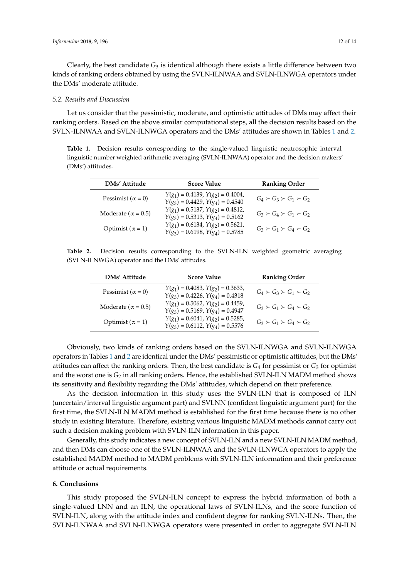Clearly, the best candidate  $G_3$  is identical although there exists a little difference between two kinds of ranking orders obtained by using the SVLN-ILNWAA and SVLN-ILNWGA operators under the DMs' moderate attitude.

#### *5.2. Results and Discussion*

Let us consider that the pessimistic, moderate, and optimistic attitudes of DMs may affect their ranking orders. Based on the above similar computational steps, all the decision results based on the SVLN-ILNWAA and SVLN-ILNWGA operators and the DMs' attitudes are shown in Tables [1](#page-11-1) and [2.](#page-11-2)

<span id="page-11-1"></span>Table 1. Decision results corresponding to the single-valued linguistic neutrosophic interval linguistic number weighted arithmetic averaging (SVLN-ILNWAA) operator and the decision makers' (DMs') attitudes.

| DMs' Attitude              | <b>Score Value</b>                                                        | <b>Ranking Order</b>                |
|----------------------------|---------------------------------------------------------------------------|-------------------------------------|
| Pessimist ( $\alpha = 0$ ) | $Y(g_1) = 0.4139, Y(g_2) = 0.4004,$<br>$Y(g_3) = 0.4429, Y(g_4) = 0.4540$ | $G_4 \succ G_3 \succ G_1 \succ G_2$ |
| Moderate ( $\alpha$ = 0.5) | $Y(g_1) = 0.5137, Y(g_2) = 0.4812,$<br>$Y(g_3) = 0.5313, Y(g_4) = 0.5162$ | $G_3 \succ G_4 \succ G_1 \succ G_2$ |
| Optimist $(\alpha = 1)$    | $Y(g_1) = 0.6134, Y(g_2) = 0.5621,$<br>$Y(g_3) = 0.6198, Y(g_4) = 0.5785$ | $G_3 \succ G_1 \succ G_4 \succ G_2$ |

<span id="page-11-2"></span>**Table 2.** Decision results corresponding to the SVLN-ILN weighted geometric averaging (SVLN-ILNWGA) operator and the DMs' attitudes.

| DMs' Attitude              | <b>Score Value</b>                                                        | <b>Ranking Order</b>                |
|----------------------------|---------------------------------------------------------------------------|-------------------------------------|
| Pessimist ( $\alpha = 0$ ) | $Y(g_1) = 0.4083, Y(g_2) = 0.3633,$<br>$Y(g_3) = 0.4226, Y(g_4) = 0.4318$ | $G_4 \succ G_3 \succ G_1 \succ G_2$ |
| Moderate ( $\alpha$ = 0.5) | $Y(g_1) = 0.5062, Y(g_2) = 0.4459,$<br>$Y(g_3) = 0.5169, Y(g_4) = 0.4947$ | $G_3 \succ G_1 \succ G_4 \succ G_2$ |
| Optimist $(\alpha = 1)$    | $Y(g_1) = 0.6041, Y(g_2) = 0.5285,$<br>$Y(g_3) = 0.6112, Y(g_4) = 0.5576$ | $G_3 \succ G_1 \succ G_4 \succ G_2$ |

Obviously, two kinds of ranking orders based on the SVLN-ILNWGA and SVLN-ILNWGA operators in Tables [1](#page-11-1) and [2](#page-11-2) are identical under the DMs' pessimistic or optimistic attitudes, but the DMs' attitudes can affect the ranking orders. Then, the best candidate is *G*<sup>4</sup> for pessimist or *G*<sup>3</sup> for optimist and the worst one is  $G_2$  in all ranking orders. Hence, the established SVLN-ILN MADM method shows its sensitivity and flexibility regarding the DMs' attitudes, which depend on their preference.

As the decision information in this study uses the SVLN-ILN that is composed of ILN (uncertain/interval linguistic argument part) and SVLNN (confident linguistic argument part) for the first time, the SVLN-ILN MADM method is established for the first time because there is no other study in existing literature. Therefore, existing various linguistic MADM methods cannot carry out such a decision making problem with SVLN-ILN information in this paper.

Generally, this study indicates a new concept of SVLN-ILN and a new SVLN-ILN MADM method, and then DMs can choose one of the SVLN-ILNWAA and the SVLN-ILNWGA operators to apply the established MADM method to MADM problems with SVLN-ILN information and their preference attitude or actual requirements.

#### <span id="page-11-0"></span>**6. Conclusions**

This study proposed the SVLN-ILN concept to express the hybrid information of both a single-valued LNN and an ILN, the operational laws of SVLN-ILNs, and the score function of SVLN-ILN, along with the attitude index and confident degree for ranking SVLN-ILNs. Then, the SVLN-ILNWAA and SVLN-ILNWGA operators were presented in order to aggregate SVLN-ILN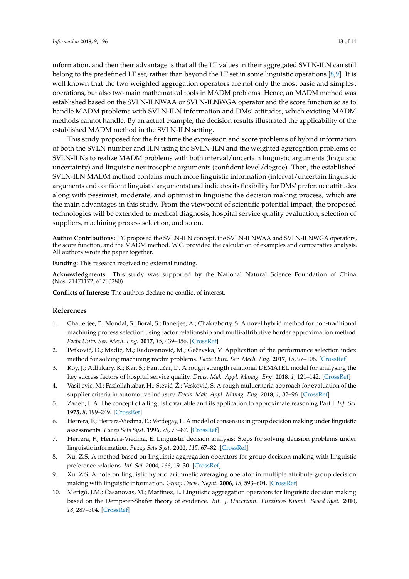information, and then their advantage is that all the LT values in their aggregated SVLN-ILN can still belong to the predefined LT set, rather than beyond the LT set in some linguistic operations [\[8,](#page-12-5)[9\]](#page-12-6). It is well known that the two weighted aggregation operators are not only the most basic and simplest operations, but also two main mathematical tools in MADM problems. Hence, an MADM method was established based on the SVLN-ILNWAA or SVLN-ILNWGA operator and the score function so as to handle MADM problems with SVLN-ILN information and DMs' attitudes, which existing MADM methods cannot handle. By an actual example, the decision results illustrated the applicability of the established MADM method in the SVLN-ILN setting.

This study proposed for the first time the expression and score problems of hybrid information of both the SVLN number and ILN using the SVLN-ILN and the weighted aggregation problems of SVLN-ILNs to realize MADM problems with both interval/uncertain linguistic arguments (linguistic uncertainty) and linguistic neutrosophic arguments (confident level/degree). Then, the established SVLN-ILN MADM method contains much more linguistic information (interval/uncertain linguistic arguments and confident linguistic arguments) and indicates its flexibility for DMs' preference attitudes along with pessimist, moderate, and optimist in linguistic the decision making process, which are the main advantages in this study. From the viewpoint of scientific potential impact, the proposed technologies will be extended to medical diagnosis, hospital service quality evaluation, selection of suppliers, machining process selection, and so on.

**Author Contributions:** J.Y. proposed the SVLN-ILN concept, the SVLN-ILNWAA and SVLN-ILNWGA operators, the score function, and the MADM method. W.C. provided the calculation of examples and comparative analysis. All authors wrote the paper together.

**Funding:** This research received no external funding.

**Acknowledgments:** This study was supported by the National Natural Science Foundation of China (Nos. 71471172, 61703280).

**Conflicts of Interest:** The authors declare no conflict of interest.

## **References**

- <span id="page-12-0"></span>1. Chatterjee, P.; Mondal, S.; Boral, S.; Banerjee, A.; Chakraborty, S. A novel hybrid method for non-traditional machining process selection using factor relationship and multi-attributive border approximation method. *Facta Univ. Ser. Mech. Eng.* **2017**, *15*, 439–456. [\[CrossRef\]](http://dx.doi.org/10.22190/FUME170508024C)
- 2. Petković, D.; Madić, M.; Radovanović, M.; Gečevska, V. Application of the performance selection index method for solving machining mcdm problems. *Facta Univ. Ser. Mech. Eng.* **2017**, *15*, 97–106. [\[CrossRef\]](http://dx.doi.org/10.22190/FUME151120001P)
- 3. Roy, J.; Adhikary, K.; Kar, S.; Pamuˇcar, D. A rough strength relational DEMATEL model for analysing the key success factors of hospital service quality. *Decis. Mak. Appl. Manag. Eng.* **2018**, *1*, 121–142. [\[CrossRef\]](http://dx.doi.org/10.31181/dmame1801121r)
- <span id="page-12-1"></span>4. Vasiljevic, M.; Fazlollahtabar, H.; Stević, Ž.; Vesković, S. A rough multicriteria approach for evaluation of the supplier criteria in automotive industry. *Decis. Mak. Appl. Manag. Eng.* **2018**, *1*, 82–96. [\[CrossRef\]](http://dx.doi.org/10.31181/dmame180182v)
- <span id="page-12-2"></span>5. Zadeh, L.A. The concept of a linguistic variable and its application to approximate reasoning Part I. *Inf. Sci.* **1975**, *8*, 199–249. [\[CrossRef\]](http://dx.doi.org/10.1016/0020-0255(75)90036-5)
- <span id="page-12-3"></span>6. Herrera, F.; Herrera-Viedma, E.; Verdegay, L. A model of consensus in group decision making under linguistic assessments. *Fuzzy Sets Syst.* **1996**, *79*, 73–87. [\[CrossRef\]](http://dx.doi.org/10.1016/0165-0114(95)00107-7)
- <span id="page-12-4"></span>7. Herrera, F.; Herrera-Viedma, E. Linguistic decision analysis: Steps for solving decision problems under linguistic information. *Fuzzy Sets Syst.* **2000**, *115*, 67–82. [\[CrossRef\]](http://dx.doi.org/10.1016/S0165-0114(99)00024-X)
- <span id="page-12-5"></span>8. Xu, Z.S. A method based on linguistic aggregation operators for group decision making with linguistic preference relations. *Inf. Sci.* **2004**, *166*, 19–30. [\[CrossRef\]](http://dx.doi.org/10.1016/j.ins.2003.10.006)
- <span id="page-12-6"></span>9. Xu, Z.S. A note on linguistic hybrid arithmetic averaging operator in multiple attribute group decision making with linguistic information. *Group Decis. Negot.* **2006**, *15*, 593–604. [\[CrossRef\]](http://dx.doi.org/10.1007/s10726-005-9008-4)
- 10. Merigó, J.M.; Casanovas, M.; Martínez, L. Linguistic aggregation operators for linguistic decision making based on the Dempster-Shafer theory of evidence. *Int. J. Uncertain. Fuzziness Knowl. Based Syst.* **2010**, *18*, 287–304. [\[CrossRef\]](http://dx.doi.org/10.1142/S0218488510006544)